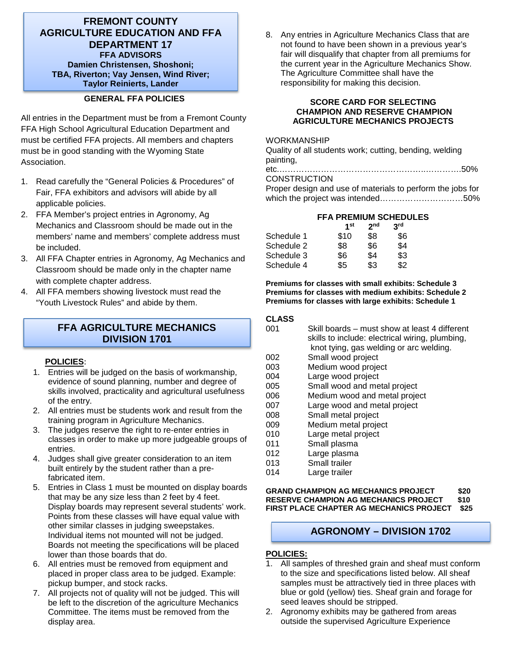## **FREMONT COUNTY AGRICULTURE EDUCATION AND FFA DEPARTMENT 17 FFA ADVISORS Damien Christensen, Shoshoni; TBA, Riverton; Vay Jensen, Wind River; Taylor Reinierts, Lander**

## **GENERAL FFA POLICIES**

All entries in the Department must be from a Fremont County FFA High School Agricultural Education Department and must be certified FFA projects. All members and chapters must be in good standing with the Wyoming State Association.

- 1. Read carefully the "General Policies & Procedures" of Fair, FFA exhibitors and advisors will abide by all applicable policies.
- 2. FFA Member's project entries in Agronomy, Ag Mechanics and Classroom should be made out in the members' name and members' complete address must be included.
- 3. All FFA Chapter entries in Agronomy, Ag Mechanics and Classroom should be made only in the chapter name with complete chapter address.
- 4. All FFA members showing livestock must read the "Youth Livestock Rules" and abide by them.

## **FFA AGRICULTURE MECHANICS DIVISION 1701**

## **POLICIES**:

- 1. Entries will be judged on the basis of workmanship, evidence of sound planning, number and degree of skills involved, practicality and agricultural usefulness of the entry.
- 2. All entries must be students work and result from the training program in Agriculture Mechanics.
- 3. The judges reserve the right to re-enter entries in classes in order to make up more judgeable groups of entries.
- 4. Judges shall give greater consideration to an item built entirely by the student rather than a prefabricated item.
- 5. Entries in Class 1 must be mounted on display boards that may be any size less than 2 feet by 4 feet. Display boards may represent several students' work. Points from these classes will have equal value with other similar classes in judging sweepstakes. Individual items not mounted will not be judged. Boards not meeting the specifications will be placed lower than those boards that do.
- 6. All entries must be removed from equipment and placed in proper class area to be judged. Example: pickup bumper, and stock racks.
- 7. All projects not of quality will not be judged. This will be left to the discretion of the agriculture Mechanics Committee. The items must be removed from the display area.

8. Any entries in Agriculture Mechanics Class that are not found to have been shown in a previous year's fair will disqualify that chapter from all premiums for the current year in the Agriculture Mechanics Show. The Agriculture Committee shall have the responsibility for making this decision.

#### **SCORE CARD FOR SELECTING CHAMPION AND RESERVE CHAMPION AGRICULTURE MECHANICS PROJECTS**

#### WORKMANSHIP

Quality of all students work; cutting, bending, welding painting,

etc.……………………………………………..………….50%

## **CONSTRUCTION**

Proper design and use of materials to perform the jobs for which the project was intended…………………………50%

## **FFA PREMIUM SCHEDULES**

|            | 1st  | 2 <sub>nd</sub> | 3rd |
|------------|------|-----------------|-----|
| Schedule 1 | \$10 | \$8             | \$6 |
| Schedule 2 | \$8  | \$6             | \$4 |
| Schedule 3 | \$6  | \$4             | \$3 |
| Schedule 4 | \$5  | \$3             | \$2 |

#### **Premiums for classes with small exhibits: Schedule 3 Premiums for classes with medium exhibits: Schedule 2 Premiums for classes with large exhibits: Schedule 1**

#### **CLASS**

- 001 Skill boards must show at least 4 different skills to include: electrical wiring, plumbing, knot tying, gas welding or arc welding.<br>002 Small wood project
- Small wood project
- 003 Medium wood project<br>004 Large wood project
- 004 Large wood project<br>005 Small wood and me
- Small wood and metal project
- 006 Medium wood and metal project
- 007 Large wood and metal project
- 008 Small metal project
- 009 Medium metal project
- 010 Large metal project
- 011 Small plasma
- 012 Large plasma<br>013 Small trailer
- 013 Small trailer<br>014 Large trailer
- Large trailer

#### **GRAND CHAMPION AG MECHANICS PROJECT \$20 RESERVE CHAMPION AG MECHANICS PROJECT \$10 FIRST PLACE CHAPTER AG MECHANICS PROJECT \$25**

## **AGRONOMY – DIVISION 1702**

## **POLICIES:**

- 1. All samples of threshed grain and sheaf must conform to the size and specifications listed below. All sheaf samples must be attractively tied in three places with blue or gold (yellow) ties. Sheaf grain and forage for seed leaves should be stripped.
- 2. Agronomy exhibits may be gathered from areas outside the supervised Agriculture Experience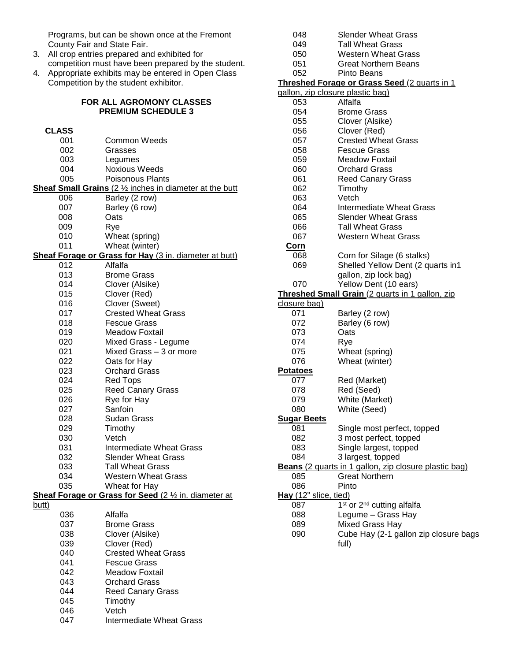Programs, but can be shown once at the Fremont County Fair and State Fair.

- 3. All crop entries prepared and exhibited for competition must have been prepared by the student.
- 4. Appropriate exhibits may be entered in Open Class Competition by the student exhibitor.

#### **FOR ALL AGROMONY CLASSES PREMIUM SCHEDULE 3**

| <b>CLASS</b> |                                                                 |
|--------------|-----------------------------------------------------------------|
| 001          | Common Weeds                                                    |
| 002          | Grasses                                                         |
| 003          | Legumes                                                         |
| 004          | <b>Noxious Weeds</b>                                            |
| 005          | <b>Poisonous Plants</b>                                         |
|              | <b>Sheaf Small Grains</b> (2 1/2 inches in diameter at the butt |
| 006          | Barley (2 row)                                                  |
| 007          | Barley (6 row)                                                  |
| 008          | Oats                                                            |
| 009          | Rye                                                             |
| 010          | Wheat (spring)                                                  |
| 011          | Wheat (winter)                                                  |
|              | Sheaf Forage or Grass for Hay (3 in. diameter at butt)          |
| 012          | Alfalfa                                                         |
| 013          | Brome Grass                                                     |
| 014          | Clover (Alsike)                                                 |
| 015          | Clover (Red)                                                    |
| 016          | Clover (Sweet)                                                  |
| 017          | <b>Crested Wheat Grass</b>                                      |
| 018          | <b>Fescue Grass</b>                                             |
| 019          | <b>Meadow Foxtail</b>                                           |
| 020          | Mixed Grass - Legume                                            |
| 021          | Mixed Grass - 3 or more                                         |
| 022          | Oats for Hay                                                    |
| 023          | <b>Orchard Grass</b>                                            |
| 024          | Red Tops                                                        |
| 025          | <b>Reed Canary Grass</b>                                        |
| 026          | Rye for Hay                                                     |
| 027          | Sanfoin                                                         |
| 028          | Sudan Grass                                                     |
| 029          | Timothy                                                         |
| 030          | Vetch                                                           |
| 031          | <b>Intermediate Wheat Grass</b><br><b>Slender Wheat Grass</b>   |
| 032          |                                                                 |
| 033          | <b>Tall Wheat Grass</b><br>Western Wheat Grass                  |
| 034<br>035   |                                                                 |
|              | Wheat for Hay                                                   |
| <u>butt)</u> | Sheaf Forage or Grass for Seed (2 1/2 in. diameter at           |
| 036          | Alfalfa                                                         |
| 037          | <b>Brome Grass</b>                                              |
| 038          | Clover (Alsike)                                                 |
| 039          | Clover (Red)                                                    |
| 040          | <b>Crested Wheat Grass</b>                                      |
| 041          | <b>Fescue Grass</b>                                             |
| 042          | Meadow Foxtail                                                  |
| 043          | <b>Orchard Grass</b>                                            |
| 044          | <b>Reed Canary Grass</b>                                        |
| 045          | Timothy                                                         |
| 046          | Vetch                                                           |
| 047          | Intermediate Wheat Grass                                        |
|              |                                                                 |

| 048                                             | <b>Slender Wheat Grass</b>                            |  |
|-------------------------------------------------|-------------------------------------------------------|--|
| 049                                             | Tall Wheat Grass                                      |  |
| 050                                             | <b>Western Wheat Grass</b>                            |  |
| 051                                             | Great Northern Beans                                  |  |
| 052                                             | Pinto Beans                                           |  |
|                                                 | <b>Threshed Forage or Grass Seed (2 quarts in 1</b>   |  |
|                                                 | gallon, zip closure plastic bag)                      |  |
| 053                                             | Alfalfa                                               |  |
| 054                                             | <b>Brome Grass</b>                                    |  |
| 055                                             | Clover (Alsike)                                       |  |
| 056                                             | Clover (Red)                                          |  |
| 057                                             | <b>Crested Wheat Grass</b>                            |  |
| 058                                             | <b>Fescue Grass</b>                                   |  |
| 059                                             | <b>Meadow Foxtail</b>                                 |  |
| 060                                             | <b>Orchard Grass</b>                                  |  |
| 061                                             | <b>Reed Canary Grass</b>                              |  |
| 062                                             | Timothy                                               |  |
| 063                                             | Vetch                                                 |  |
| 064                                             | Intermediate Wheat Grass                              |  |
| 065                                             | <b>Slender Wheat Grass</b>                            |  |
| 066                                             | <b>Tall Wheat Grass</b>                               |  |
| 067                                             | <b>Western Wheat Grass</b>                            |  |
| Corn                                            |                                                       |  |
| 068                                             | Corn for Silage (6 stalks)                            |  |
| 069                                             | Shelled Yellow Dent (2 quarts in1                     |  |
|                                                 | gallon, zip lock bag)                                 |  |
| 070                                             |                                                       |  |
|                                                 | Yellow Dent (10 ears)                                 |  |
| Threshed Small Grain (2 quarts in 1 gallon, zip |                                                       |  |
|                                                 |                                                       |  |
| closure bag)                                    |                                                       |  |
| 071                                             | Barley (2 row)                                        |  |
| 072                                             | Barley (6 row)                                        |  |
| 073                                             | Oats                                                  |  |
| 074                                             | Rye                                                   |  |
| 075                                             | Wheat (spring)                                        |  |
| 076                                             | Wheat (winter)                                        |  |
| <b>Potatoes</b>                                 |                                                       |  |
| 077                                             | Red (Market)                                          |  |
| 078                                             | Red (Seed)                                            |  |
| 079                                             | White (Market)                                        |  |
| 080                                             | White (Seed)                                          |  |
| <b>Sugar Beets</b>                              |                                                       |  |
| 081                                             | Single most perfect, topped                           |  |
| 082                                             | 3 most perfect, topped                                |  |
| 083                                             | Single largest, topped                                |  |
| 084                                             | 3 largest, topped                                     |  |
|                                                 | Beans (2 quarts in 1 gallon, zip closure plastic bag) |  |
| 085                                             | <b>Great Northern</b>                                 |  |
| 086                                             | Pinto                                                 |  |
| Hay (12" slice, tied)                           |                                                       |  |
| 087                                             | 1 <sup>st</sup> or 2 <sup>nd</sup> cutting alfalfa    |  |
| 088                                             | Legume - Grass Hay                                    |  |
| 089                                             | Mixed Grass Hay                                       |  |
| 090                                             | Cube Hay (2-1 gallon zip closure bags<br>full)        |  |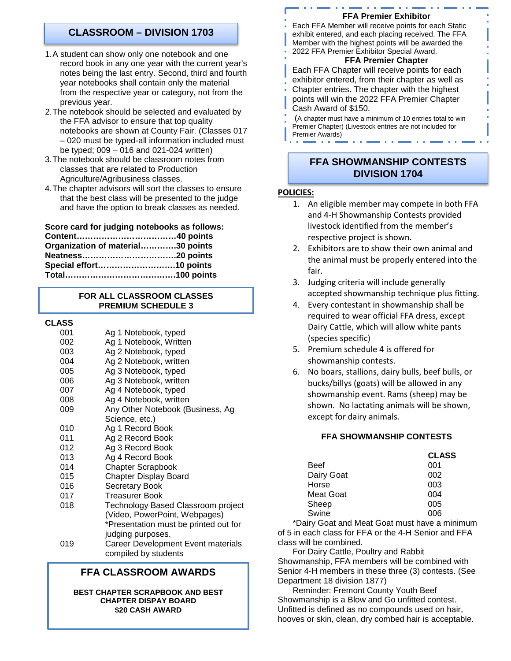# **CLASSROOM – DIVISION 1703**

- 1.A student can show only one notebook and one record book in any one year with the current year's notes being the last entry. Second, third and fourth year notebooks shall contain only the material from the respective year or category, not from the previous year.
- 2.The notebook should be selected and evaluated by the FFA advisor to ensure that top quality notebooks are shown at County Fair. (Classes 017 – 020 must be typed-all information included must be typed; 009 – 016 and 021-024 written)
- 3.The notebook should be classroom notes from classes that are related to Production Agriculture/Agribusiness classes.
- 4.The chapter advisors will sort the classes to ensure that the best class will be presented to the judge and have the option to break classes as needed.

**Score card for judging notebooks as follows:**

| Organization of material30 points |
|-----------------------------------|
|                                   |
|                                   |
|                                   |
|                                   |

## **FOR ALL CLASSROOM CLASSES PREMIUM SCHEDULE 3**

**CLASS**

| 001 | Ag 1 Notebook, typed                  |
|-----|---------------------------------------|
| 002 | Ag 1 Notebook, Written                |
| 003 | Ag 2 Notebook, typed                  |
| 004 | Ag 2 Notebook, written                |
| 005 | Ag 3 Notebook, typed                  |
| 006 | Ag 3 Notebook, written                |
| 007 | Ag 4 Notebook, typed                  |
| 008 | Ag 4 Notebook, written                |
| 009 | Any Other Notebook (Business, Ag      |
|     | Science, etc.)                        |
| 010 | Ag 1 Record Book                      |
| 011 | Ag 2 Record Book                      |
| 012 | Ag 3 Record Book                      |
| 013 | Ag 4 Record Book                      |
| 014 | <b>Chapter Scrapbook</b>              |
| 015 | <b>Chapter Display Board</b>          |
| 016 | <b>Secretary Book</b>                 |
| 017 | <b>Treasurer Book</b>                 |
| 018 | Technology Based Classroom project    |
|     | (Video, PowerPoint, Webpages)         |
|     | *Presentation must be printed out for |
|     | judging purposes.                     |
| 019 | Career Development Event materials    |
|     | compiled by students                  |
|     |                                       |

# **FFA CLASSROOM AWARDS**

#### **BEST CHAPTER SCRAPBOOK AND BEST CHAPTER DISPAY BOARD \$20 CASH AWARD**

#### **FFA Premier Exhibitor**

Each FFA Member will receive points for each Static exhibit entered, and each placing received. The FFA Member with the highest points will be awarded the 2022 FFA Premier Exhibitor Special Award.

## **FFA Premier Chapter**

Each FFA Chapter will receive points for each exhibitor entered, from their chapter as well as Chapter entries. The chapter with the highest points will win the 2022 FFA Premier Chapter Cash Award of \$150.

(A chapter must have a minimum of 10 entries total to win Premier Chapter) (Livestock entries are not included for Premier Awards)

# **FFA SHOWMANSHIP CONTESTS DIVISION 1704**

#### **POLICIES:**

- 1. An eligible member may compete in both FFA and 4-H Showmanship Contests provided livestock identified from the member's respective project is shown.
- 2. Exhibitors are to show their own animal and the animal must be properly entered into the fair.
- 3. Judging criteria will include generally accepted showmanship technique plus fitting.
- 4. Every contestant in showmanship shall be required to wear official FFA dress, except Dairy Cattle, which will allow white pants (species specific)
- 5. Premium schedule 4 is offered for showmanship contests.
- 6. No boars, stallions, dairy bulls, beef bulls, or bucks/billys (goats) will be allowed in any showmanship event. Rams (sheep) may be shown. No lactating animals will be shown, except for dairy animals.

## **FFA SHOWMANSHIP CONTESTS**

|            | <b>CLASS</b> |
|------------|--------------|
| Beef       | 001          |
| Dairy Goat | 002          |
| Horse      | 003          |
| Meat Goat  | 004          |
| Sheep      | 005          |
| Swine      | ററഭ          |

\*Dairy Goat and Meat Goat must have a minimum of 5 in each class for FFA or the 4-H Senior and FFA class will be combined.

For Dairy Cattle, Poultry and Rabbit Showmanship, FFA members will be combined with Senior 4-H members in these three (3) contests. (See Department 18 division 1877)

Reminder: Fremont County Youth Beef Showmanship is a Blow and Go unfitted contest. Unfitted is defined as no compounds used on hair, hooves or skin, clean, dry combed hair is acceptable.